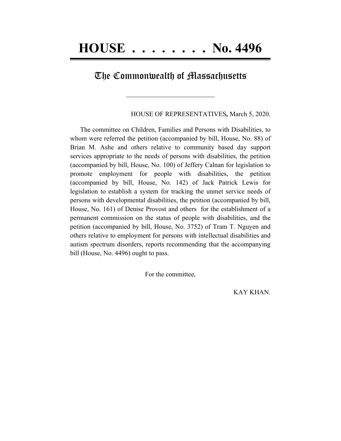## The Commonwealth of Massachusetts

 $\mathcal{L}=\{1,2,3,4,5\}$ 

HOUSE OF REPRESENTATIVES*,* March 5, 2020.

The committee on Children, Families and Persons with Disabilities, to whom were referred the petition (accompanied by bill, House, No. 88) of Brian M. Ashe and others relative to community based day support services appropriate to the needs of persons with disabilities, the petition (accompanied by bill, House, No. 100) of Jeffery Calnan for legislation to promote employment for people with disabilities, the petition (accompanied by bill, House, No. 142) of Jack Patrick Lewis for legislation to establish a system for tracking the unmet service needs of persons with developmental disabilities, the petition (accompanied by bill, House, No. 161) of Denise Provost and others for the establishment of a permanent commission on the status of people with disabilities, and the petition (accompanied by bill, House, No. 3752) of Tram T. Nguyen and others relative to employment for persons with intellectual disabilities and autism spectrum disorders, reports recommending that the accompanying bill (House, No. 4496) ought to pass.

For the committee,

KAY KHAN.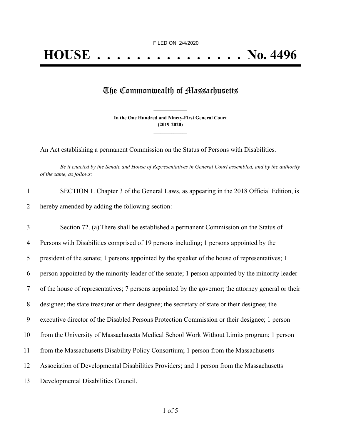## The Commonwealth of Massachusetts

**In the One Hundred and Ninety-First General Court (2019-2020) \_\_\_\_\_\_\_\_\_\_\_\_\_\_\_**

**\_\_\_\_\_\_\_\_\_\_\_\_\_\_\_**

An Act establishing a permanent Commission on the Status of Persons with Disabilities.

Be it enacted by the Senate and House of Representatives in General Court assembled, and by the authority *of the same, as follows:*

| SECTION 1. Chapter 3 of the General Laws, as appearing in the 2018 Official Edition, is |
|-----------------------------------------------------------------------------------------|
| hereby amended by adding the following section:-                                        |

| 3              | Section 72. (a) There shall be established a permanent Commission on the Status of                  |
|----------------|-----------------------------------------------------------------------------------------------------|
| $\overline{4}$ | Persons with Disabilities comprised of 19 persons including; 1 persons appointed by the             |
| 5              | president of the senate; 1 persons appointed by the speaker of the house of representatives; 1      |
| 6              | person appointed by the minority leader of the senate; 1 person appointed by the minority leader    |
| $\tau$         | of the house of representatives; 7 persons appointed by the governor; the attorney general or their |
| 8              | designee; the state treasurer or their designee; the secretary of state or their designee; the      |
| 9              | executive director of the Disabled Persons Protection Commission or their designee; 1 person        |
| 10             | from the University of Massachusetts Medical School Work Without Limits program; 1 person           |
| 11             | from the Massachusetts Disability Policy Consortium; 1 person from the Massachusetts                |
| 12             | Association of Developmental Disabilities Providers; and 1 person from the Massachusetts            |
| 13             | Developmental Disabilities Council.                                                                 |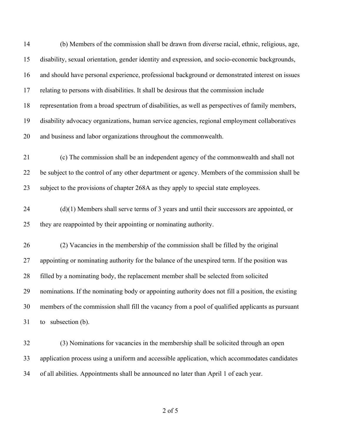| 14 | (b) Members of the commission shall be drawn from diverse racial, ethnic, religious, age,          |
|----|----------------------------------------------------------------------------------------------------|
| 15 | disability, sexual orientation, gender identity and expression, and socio-economic backgrounds,    |
| 16 | and should have personal experience, professional background or demonstrated interest on issues    |
| 17 | relating to persons with disabilities. It shall be desirous that the commission include            |
| 18 | representation from a broad spectrum of disabilities, as well as perspectives of family members,   |
| 19 | disability advocacy organizations, human service agencies, regional employment collaboratives      |
| 20 | and business and labor organizations throughout the commonwealth.                                  |
| 21 | (c) The commission shall be an independent agency of the commonwealth and shall not                |
| 22 | be subject to the control of any other department or agency. Members of the commission shall be    |
| 23 | subject to the provisions of chapter 268A as they apply to special state employees.                |
| 24 | $(d)(1)$ Members shall serve terms of 3 years and until their successors are appointed, or         |
| 25 | they are reappointed by their appointing or nominating authority.                                  |
| 26 | (2) Vacancies in the membership of the commission shall be filled by the original                  |
| 27 | appointing or nominating authority for the balance of the unexpired term. If the position was      |
| 28 | filled by a nominating body, the replacement member shall be selected from solicited               |
| 29 | nominations. If the nominating body or appointing authority does not fill a position, the existing |
| 30 | members of the commission shall fill the vacancy from a pool of qualified applicants as pursuant   |
| 31 | to subsection (b).                                                                                 |
| 32 | (3) Nominations for vacancies in the membership shall be solicited through an open                 |
| 33 | application process using a uniform and accessible application, which accommodates candidates      |
| 34 | of all abilities. Appointments shall be announced no later than April 1 of each year.              |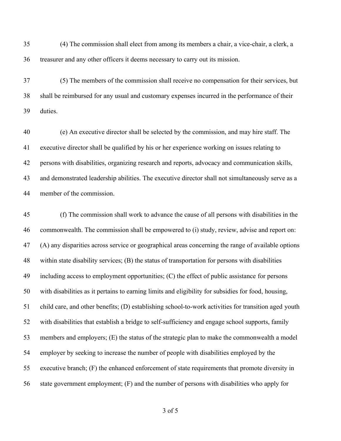(4) The commission shall elect from among its members a chair, a vice-chair, a clerk, a treasurer and any other officers it deems necessary to carry out its mission.

 (5) The members of the commission shall receive no compensation for their services, but shall be reimbursed for any usual and customary expenses incurred in the performance of their duties.

 (e) An executive director shall be selected by the commission, and may hire staff. The executive director shall be qualified by his or her experience working on issues relating to persons with disabilities, organizing research and reports, advocacy and communication skills, and demonstrated leadership abilities. The executive director shall not simultaneously serve as a member of the commission.

 (f) The commission shall work to advance the cause of all persons with disabilities in the commonwealth. The commission shall be empowered to (i) study, review, advise and report on: (A) any disparities across service or geographical areas concerning the range of available options within state disability services; (B) the status of transportation for persons with disabilities including access to employment opportunities; (C) the effect of public assistance for persons with disabilities as it pertains to earning limits and eligibility for subsidies for food, housing, child care, and other benefits; (D) establishing school-to-work activities for transition aged youth with disabilities that establish a bridge to self-sufficiency and engage school supports, family members and employers; (E) the status of the strategic plan to make the commonwealth a model employer by seeking to increase the number of people with disabilities employed by the executive branch; (F) the enhanced enforcement of state requirements that promote diversity in state government employment; (F) and the number of persons with disabilities who apply for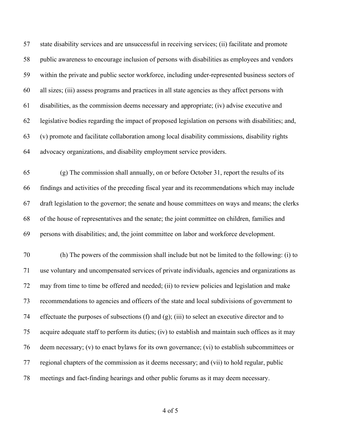state disability services and are unsuccessful in receiving services; (ii) facilitate and promote public awareness to encourage inclusion of persons with disabilities as employees and vendors within the private and public sector workforce, including under-represented business sectors of all sizes; (iii) assess programs and practices in all state agencies as they affect persons with disabilities, as the commission deems necessary and appropriate; (iv) advise executive and legislative bodies regarding the impact of proposed legislation on persons with disabilities; and, (v) promote and facilitate collaboration among local disability commissions, disability rights advocacy organizations, and disability employment service providers.

 (g) The commission shall annually, on or before October 31, report the results of its findings and activities of the preceding fiscal year and its recommendations which may include draft legislation to the governor; the senate and house committees on ways and means; the clerks of the house of representatives and the senate; the joint committee on children, families and persons with disabilities; and, the joint committee on labor and workforce development.

 (h) The powers of the commission shall include but not be limited to the following: (i) to use voluntary and uncompensated services of private individuals, agencies and organizations as may from time to time be offered and needed; (ii) to review policies and legislation and make recommendations to agencies and officers of the state and local subdivisions of government to effectuate the purposes of subsections (f) and (g); (iii) to select an executive director and to acquire adequate staff to perform its duties; (iv) to establish and maintain such offices as it may deem necessary; (v) to enact bylaws for its own governance; (vi) to establish subcommittees or regional chapters of the commission as it deems necessary; and (vii) to hold regular, public meetings and fact-finding hearings and other public forums as it may deem necessary.